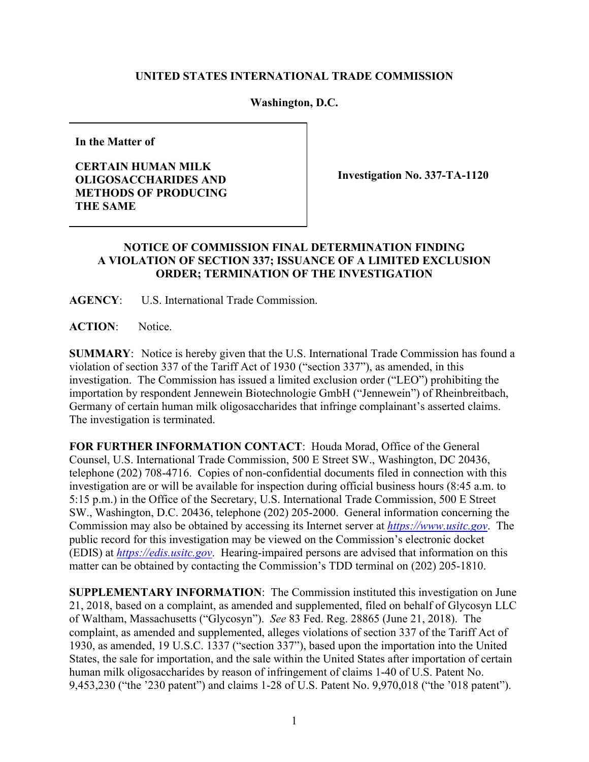## **UNITED STATES INTERNATIONAL TRADE COMMISSION**

## **Washington, D.C.**

**In the Matter of**

**CERTAIN HUMAN MILK OLIGOSACCHARIDES AND METHODS OF PRODUCING THE SAME**

**Investigation No. 337-TA-1120**

## **NOTICE OF COMMISSION FINAL DETERMINATION FINDING A VIOLATION OF SECTION 337; ISSUANCE OF A LIMITED EXCLUSION ORDER; TERMINATION OF THE INVESTIGATION**

**AGENCY**: U.S. International Trade Commission.

**ACTION**: Notice.

**SUMMARY**: Notice is hereby given that the U.S. International Trade Commission has found a violation of section 337 of the Tariff Act of 1930 ("section 337"), as amended, in this investigation. The Commission has issued a limited exclusion order ("LEO") prohibiting the importation by respondent Jennewein Biotechnologie GmbH ("Jennewein") of Rheinbreitbach, Germany of certain human milk oligosaccharides that infringe complainant's asserted claims. The investigation is terminated.

**FOR FURTHER INFORMATION CONTACT**: Houda Morad, Office of the General Counsel, U.S. International Trade Commission, 500 E Street SW., Washington, DC 20436, telephone (202) 708-4716. Copies of non-confidential documents filed in connection with this investigation are or will be available for inspection during official business hours (8:45 a.m. to 5:15 p.m.) in the Office of the Secretary, U.S. International Trade Commission, 500 E Street SW., Washington, D.C. 20436, telephone (202) 205-2000. General information concerning the Commission may also be obtained by accessing its Internet server at *[https://www.usitc.gov](https://www.usitc.gov/)*. The public record for this investigation may be viewed on the Commission's electronic docket (EDIS) at *[https://edis.usitc.gov](http://edis.usitc.gov/)*. Hearing-impaired persons are advised that information on this matter can be obtained by contacting the Commission's TDD terminal on (202) 205-1810.

**SUPPLEMENTARY INFORMATION**: The Commission instituted this investigation on June 21, 2018, based on a complaint, as amended and supplemented, filed on behalf of Glycosyn LLC of Waltham, Massachusetts ("Glycosyn"). *See* 83 Fed. Reg. 28865 (June 21, 2018). The complaint, as amended and supplemented, alleges violations of section 337 of the Tariff Act of 1930, as amended, 19 U.S.C. 1337 ("section 337"), based upon the importation into the United States, the sale for importation, and the sale within the United States after importation of certain human milk oligosaccharides by reason of infringement of claims 1-40 of U.S. Patent No. 9,453,230 ("the '230 patent") and claims 1-28 of U.S. Patent No. 9,970,018 ("the '018 patent").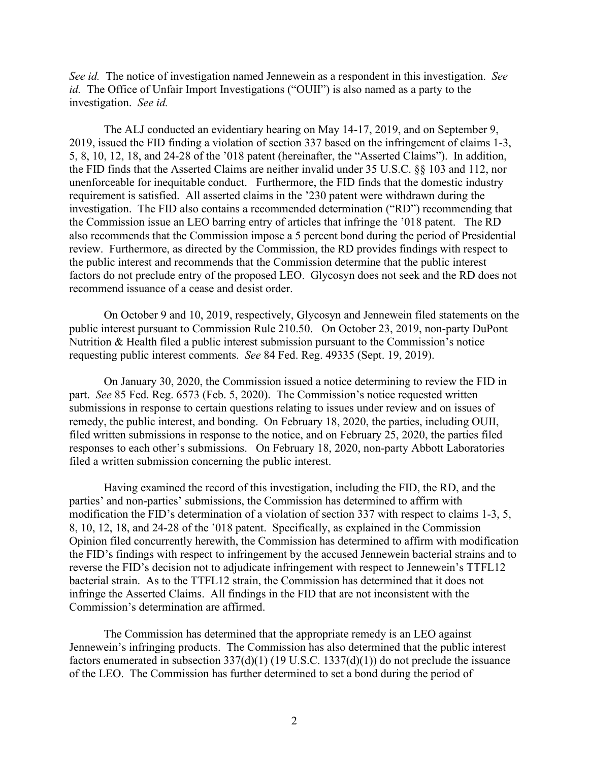*See id.* The notice of investigation named Jennewein as a respondent in this investigation. *See id.* The Office of Unfair Import Investigations ("OUII") is also named as a party to the investigation. *See id.*

The ALJ conducted an evidentiary hearing on May 14-17, 2019, and on September 9, 2019, issued the FID finding a violation of section 337 based on the infringement of claims 1-3, 5, 8, 10, 12, 18, and 24-28 of the '018 patent (hereinafter, the "Asserted Claims"). In addition, the FID finds that the Asserted Claims are neither invalid under 35 U.S.C. §§ 103 and 112, nor unenforceable for inequitable conduct. Furthermore, the FID finds that the domestic industry requirement is satisfied. All asserted claims in the '230 patent were withdrawn during the investigation. The FID also contains a recommended determination ("RD") recommending that the Commission issue an LEO barring entry of articles that infringe the '018 patent. The RD also recommends that the Commission impose a 5 percent bond during the period of Presidential review. Furthermore, as directed by the Commission, the RD provides findings with respect to the public interest and recommends that the Commission determine that the public interest factors do not preclude entry of the proposed LEO. Glycosyn does not seek and the RD does not recommend issuance of a cease and desist order.

On October 9 and 10, 2019, respectively, Glycosyn and Jennewein filed statements on the public interest pursuant to Commission Rule 210.50. On October 23, 2019, non-party DuPont Nutrition & Health filed a public interest submission pursuant to the Commission's notice requesting public interest comments. *See* 84 Fed. Reg. 49335 (Sept. 19, 2019).

On January 30, 2020, the Commission issued a notice determining to review the FID in part. *See* 85 Fed. Reg. 6573 (Feb. 5, 2020). The Commission's notice requested written submissions in response to certain questions relating to issues under review and on issues of remedy, the public interest, and bonding. On February 18, 2020, the parties, including OUII, filed written submissions in response to the notice, and on February 25, 2020, the parties filed responses to each other's submissions. On February 18, 2020, non-party Abbott Laboratories filed a written submission concerning the public interest.

Having examined the record of this investigation, including the FID, the RD, and the parties' and non-parties' submissions, the Commission has determined to affirm with modification the FID's determination of a violation of section 337 with respect to claims 1-3, 5, 8, 10, 12, 18, and 24-28 of the '018 patent. Specifically, as explained in the Commission Opinion filed concurrently herewith, the Commission has determined to affirm with modification the FID's findings with respect to infringement by the accused Jennewein bacterial strains and to reverse the FID's decision not to adjudicate infringement with respect to Jennewein's TTFL12 bacterial strain. As to the TTFL12 strain, the Commission has determined that it does not infringe the Asserted Claims. All findings in the FID that are not inconsistent with the Commission's determination are affirmed.

The Commission has determined that the appropriate remedy is an LEO against Jennewein's infringing products. The Commission has also determined that the public interest factors enumerated in subsection  $337(d)(1)$  (19 U.S.C. 1337(d)(1)) do not preclude the issuance of the LEO. The Commission has further determined to set a bond during the period of